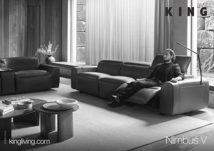

 $\mathbf{f}$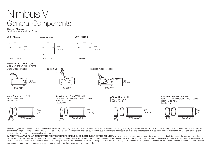# Nimbus V General Components

#### Recliner Modules

Front View shown without Arms

### 700R Module

800R Module

#### 900R Module







705 (27.75")

Modules 700R | 800R | 900R Side View shown without Arms



500 (19.75")

Arms Compact | H & RH Front | Side View Leather Detail



Arm Compact SMART | H & RH for SMART Accessories: Lights | Tables Front | Side View Leather Detail



Arm Wide LH & RH<br>Front | Side View Leather Detail



Arm Wide SMART I H & RH for SMART Accessories: Lights | Tables Front | Side View Leather Detail



Effective August 2021. Nimbus V uses TouchGlide® Technology. The weight limit for the recliner mechanism used in Nimbus V is 120kg (264.5lb). The weight limit for Nimbus V footrest is 15kg (33lb). Maximum allowable subwoofer dimensions: Height: 415 (16.5") Width: 220 (8.75") Depth: 640 (25.25"). As King Living has a policy of continuous improvement, changes to products and specifications may be made without prior notice. Images and drawings ar representative of design only. Accessories not included.

IMPORTANT: ALWAYS FULLY RETRACT THE FOOTREST BEFORE SITTING IN OR GETTING OUT OF THE RECLINER. To avoid damage to your reclinier, the reclining function should only be operated when you are seated in the recliner. Any open footrests, which have a 15kg (33lb) weight limit, must be closed before getting out of or into the seat. Sliding forward over the footrest to get out of the seat or getting into a fully reclined seat may the mechanism of the recliner and can result in the sofa tipping forward in extreme cases. This built-in tipping point was specifically designed to preserve the integrity of the mechanism if too much pressure is placed on permanent damage. Damage caused by improper use of Recliners will not be covered under Warranty.

Chair (Closed Position) Headrest Up A M Reclined (Open Position)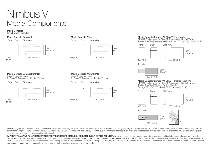## Nimbus V Media Components

#### Media Consoles

for in between modules

#### Front Back Side View





### Media Console Wide



Media Console Wide SMART SMART Pockets (rear) for SMART Accessories: Lights | Tables





#### Media Console Compact Media Console Storage XW SMART (Extra Wide)

SMART Pocket (rear) for SMART Accessories: Lights | Tables Timber Tray Top | Storage: W220 (8.75") x L832 (32.75") x H440 (17.25")



Top View



Media Console Storage XW SMART Charge (Extra Wide) SMART Pocket (rear) for SMART Accessories: Lights | Tables Timber Tray Top | Wireless Device Charging Storage: W220 (8.75") x L832 (32.75") x H440 (17.25")



Effective August 2021. Nimbus V uses TouchGlide® Technology. The weight limit for the recliner mechanism used in Nimbus V is 120kg (264.5lb). The weight limit for Nimbus V footrest is 15kg (33lb). Maximum allowable subwoofer dimensions: Height: 415 (16.5") Width: 220 (8.75") Depth: 640 (25.25"). As King Living has a policy of continuous improvement, changes to products and specifications may be made without prior notice. Images and drawings ar representative of design only. Accessories not included.

IMPORTANT: ALWAYS FULLY RETRACT THE FOOTREST BEFORE SITTING IN OR GETTING OUT OF THE RECLINER. To avoid damage to your reclinier, the reclining function should only be operated when you are seated in the recliner. Any open footrests, which have a 15kg (33lb) weight limit, must be closed before getting out of or into the seat. Sliding forward over the footrest to get out of the seat or getting into a fully reclined seat may the mechanism of the recliner and can result in the sofa tipoing forward in extreme cases. This built-in tipoing point was specifically designed to preserve the integrity of the mechanism if too much pressure is placed on permanent damage. Damage caused by improper use of Recliners will not be covered under Warranty.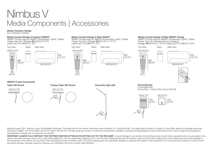# Nimbus V Media Components | Accessories

#### Media Consoles: Wedge

for in between modules

#### Media Console Wedge S Compact SMART

SMART Pocket (rear) for SMART Accessories: Lights | Tables Timber Tray Top | Storage: W220/50 (8.75"/2") x L832 (32.75") x H440 (17.25")

#### Top View Back Side View Top View Back Side View Back Side View Top View 338 (13.25") 418 (16.25") 418 (16.25") . . . . . . . . . . . . . . . . . . . . . . . . . . . . . . . . . . . . . . . . . . . . . . . 500 (19.75") 500 (19.75") 500<br>(19.75") 996 996 996  $(39.25")$  $(39.25"$  $(39.25"$ 1000 (39.25") 1000 (39.25") 1000 (39.25") 160 240 240  $(6.25)$ (9.5")  $(9.5"$ SMART Pocket Accessories Sonos Bracket Table 350 Round Charge Table 350 Round King Sofa Light LED Compatible with: Sonos Play 1; Sonos One; Sonos One SL 350 (13.75") 350 (13.75") 120 (4.75") 120 (4.75")  $160$ 120  $(6.25"$ (4.75")

Effective August 2021. Nimbus V uses TouchGlide® Technology. The weight limit for the recliner mechanism used in Nimbus V is 120kg (264.5lb). The weight limit for Nimbus V footrest is 15kg (33lb). Maximum allowable subwoofer dimensions: Height: 415 (16.5") Width: 220 (8.75") Depth: 640 (25.25"). As King Living has a policy of continuous improvement, changes to products and specifications may be made without prior notice. Images and drawings ar representative of design only. Accessories not included.

IMPORTANT: ALWAYS FULLY RETRACT THE FOOTREST BEFORE SITTING IN OR GETTING OUT OF THE RECLINER. To avoid damage to your reclinier, the reclining function should only be operated when you are seated in the recliner. Any open footrests, which have a 15kg (33lb) weight limit, must be closed before getting out of or into the seat. Sliding forward over the footrest to get out of the seat or getting into a fully reclined seat may the mechanism of the recliner and can result in the sofa tipping forward in extreme cases. This built-in tipping point was specifically designed to preserve the integrity of the mechanism if too much pressure is placed on permanent damage. Damage caused by improper use of Recliners will not be covered under Warranty.

#### Media Console Wedge S Wide SMART

SMART Pocket (rear) for SMART Accessories: Lights | Tables Timber Tray Top | Storage: W300/130 (11.75"/5") x L832 (32.75") x H440 (17.25")



#### Media Console Wedge S Wide SMART Charge

SMART Pocket (rear) for SMART Accessories: Lights | Tables Timber Tray Top | Wireless Device Charging | Storage: W300/130 (11.75"/5") x L832 (32.75") x H440 (17.25")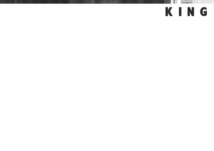# KING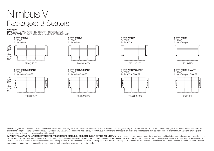# Nimbus V Packages: 3 Seaters

Packages<br>RW (Recliner + Wide Arms) | RC (Recliner + Compact Arms)  $R$ W (Recliner + Compact Arms) Hotel Arms) | Modules Depth 1040–1500 (41–59")



3 STR 900RW SMART 3x 900R, 2x ArmWide SMART



#### 3 STR 800RW 3x 800R,

2x ArmWide



3 STR 800RW SMART 3x 800R, 2x ArmWide SMART









3 STR 700RW SMART 3x 700R, 2x ArmWide SMART





### 3 STR 700RC 3x 700R,

2x ArmCompact



3 STR 700RC SMART 3x 700R, 2x ArmCompact SMART



2515 (99")

Effective August 2021. Nimbus V uses TouchGlide® Technology. The weight limit for the recliner mechanism used in Nimbus V is 120kg (264.5lb). The weight limit for Nimbus V footrest is 15kg (33lb). Maximum allowable subwoof dimensions: Height: 415 (16.5") Width: 220 (8.75") Depth: 640 (25.25"). As King Living has a policy of continuous improvement, changes to products and specifications may be made without prior notice. Images and drawings ar representative of design only. Accessories not included.

IMPORTANT: ALWAYS FULLY RETRACT THE FOOTREST BEFORE SITTING IN OR GETTING OUT OF THE RECLINER. To avoid damage to your reclinier, the reclining function should only be operated when you are seated in the recliner. Any open footrests, which have a 15kg (33lb) weight limit, must be closed before getting out of or into the seat. Sliding forward over the footrest to get out of the seat or getting into a fully reclined seat may the mechanism of the recliner and can result in the sofa tipping forward in extreme cases. This built-in tipping point was specifically designed to preserve the integrity of the mechanism if too much pressure is placed on permanent damage. Damage caused by improper use of Recliners will not be covered under Warranty.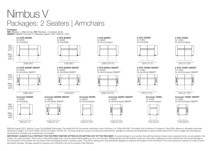# Nimbus V Packages: 2 Seaters | Armchairs

#### Packages

RW (Recliner + Wide Arms) | RC (Recliner + Compact Arms) SMART (SMART Pockets™) | Modules Depth 1040–1500 (41–59")



Effective August 2021. Nimbus V uses TouchGlide® Technology. The weight limit for the recliner mechanism used in Nimbus V is 120kg (264.5lb). The weight limit for Nimbus V footrest is 15kg (33lb). Maximum allowable subwoof dimensions: Height: 415 (16.5") Width: 220 (8.75") Depth: 640 (25.25"). As King Living has a policy of continuous improvement, changes to products and specifications may be made without prior notice. Images and drawings ar representative of design only. Accessories not included.

IMPORTANT: ALWAYS FULLY RETRACT THE FOOTREST BEFORE SITTING IN OR GETTING OUT OF THE RECLINER. To avoid damage to your recliner, the reclining function should only be operated when you are seated in the recliner. Any open footrests, which have a 15kg (33lb) weight limit, must be closed before getting out of or into the seat. Sliding forward over the footrest to get out of the seat or getting into a fully reclined seat may the mechanism of the recliner and can result in the sofa tipping forward in extreme cases. This built-in tipping point was specifically designed to preserve the integrity of the mechanism if too much pressure is placed on permanent damage. Damage caused by improper use of Recliners will not be covered under Warranty.